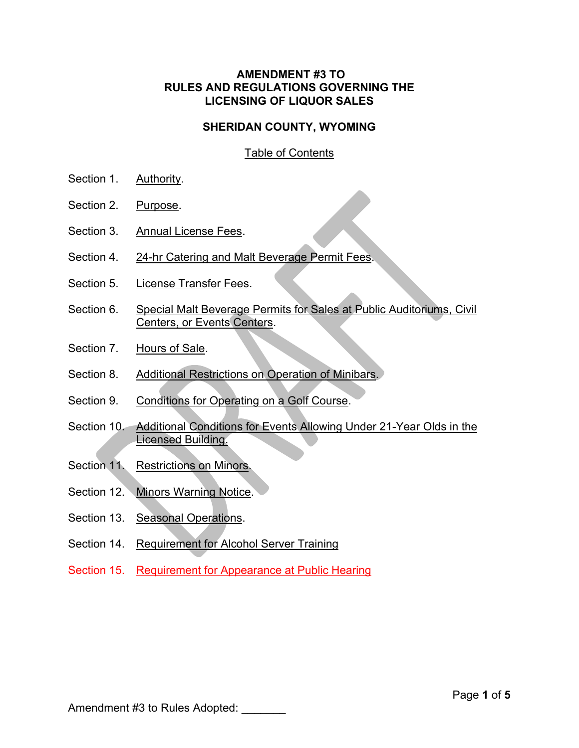## **AMENDMENT #3 TO RULES AND REGULATIONS GOVERNING THE LICENSING OF LIQUOR SALES**

## **SHERIDAN COUNTY, WYOMING**

# Table of Contents

- Section 1. Authority.
- Section 2. Purpose.
- Section 3. Annual License Fees.
- Section 4. 24-hr Catering and Malt Beverage Permit Fees.
- Section 5. License Transfer Fees.
- Section 6. Special Malt Beverage Permits for Sales at Public Auditoriums, Civil Centers, or Events Centers.
- Section 7. Hours of Sale.
- Section 8. Additional Restrictions on Operation of Minibars.
- Section 9. Conditions for Operating on a Golf Course.
- Section 10. Additional Conditions for Events Allowing Under 21-Year Olds in the Licensed Building.
- Section 11. Restrictions on Minors.
- Section 12. Minors Warning Notice.
- Section 13. Seasonal Operations.
- Section 14. Requirement for Alcohol Server Training
- Section 15. Requirement for Appearance at Public Hearing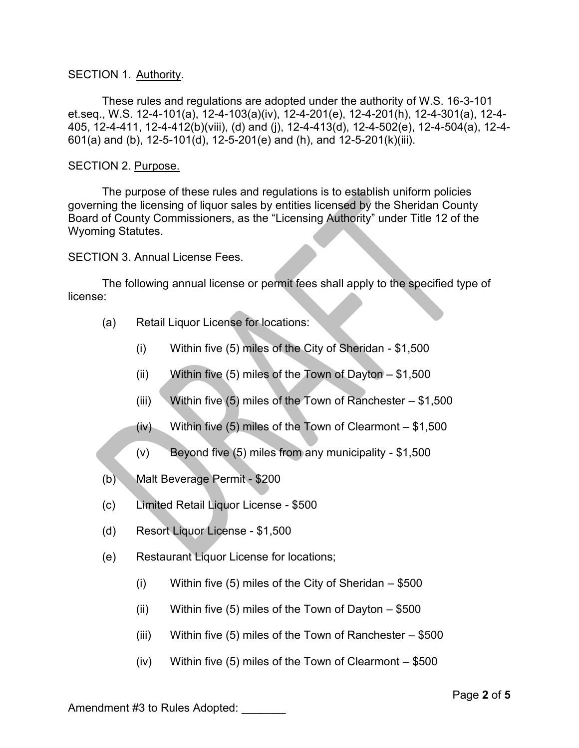#### SECTION 1. Authority.

These rules and regulations are adopted under the authority of W.S. 16-3-101 et.seq., W.S. 12-4-101(a), 12-4-103(a)(iv), 12-4-201(e), 12-4-201(h), 12-4-301(a), 12-4- 405, 12-4-411, 12-4-412(b)(viii), (d) and (j), 12-4-413(d), 12-4-502(e), 12-4-504(a), 12-4- 601(a) and (b), 12-5-101(d), 12-5-201(e) and (h), and 12-5-201(k)(iii).

### SECTION 2. Purpose.

The purpose of these rules and regulations is to establish uniform policies governing the licensing of liquor sales by entities licensed by the Sheridan County Board of County Commissioners, as the "Licensing Authority" under Title 12 of the Wyoming Statutes.

SECTION 3. Annual License Fees.

The following annual license or permit fees shall apply to the specified type of license:

- (a) Retail Liquor License for locations:
	- (i) Within five (5) miles of the City of Sheridan \$1,500
	- (ii) Within five (5) miles of the Town of Dayton  $-$  \$1,500
	- (iii) Within five (5) miles of the Town of Ranchester  $$1,500$
	- (iv) Within five (5) miles of the Town of Clearmont \$1,500
	- (v) Beyond five (5) miles from any municipality \$1,500
- (b) Malt Beverage Permit \$200
- (c) Limited Retail Liquor License \$500
- (d) Resort Liquor License \$1,500
- (e) Restaurant Liquor License for locations;
	- (i) Within five (5) miles of the City of Sheridan  $-$  \$500
	- (ii) Within five (5) miles of the Town of Dayton  $-$  \$500
	- (iii) Within five (5) miles of the Town of Ranchester \$500
	- (iv) Within five (5) miles of the Town of Clearmont \$500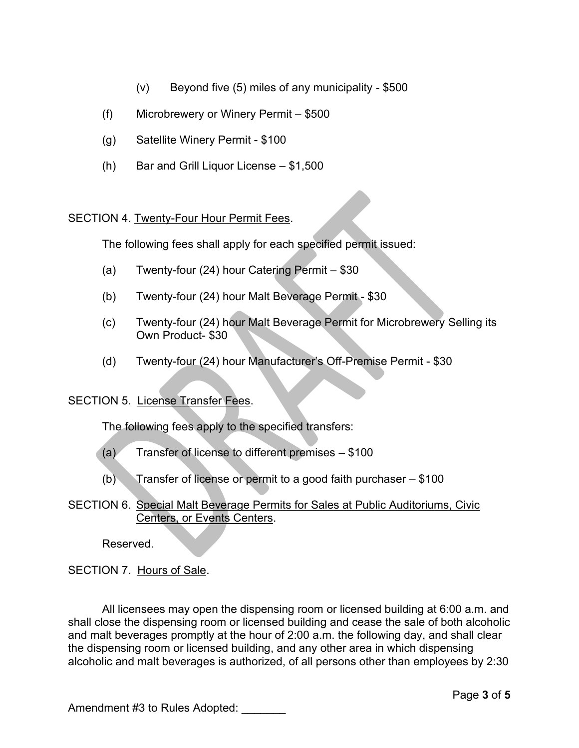- (v) Beyond five (5) miles of any municipality \$500
- (f) Microbrewery or Winery Permit \$500
- (g) Satellite Winery Permit \$100
- (h) Bar and Grill Liquor License \$1,500

# SECTION 4. Twenty-Four Hour Permit Fees.

The following fees shall apply for each specified permit issued:

- (a) Twenty-four (24) hour Catering Permit \$30
- (b) Twenty-four (24) hour Malt Beverage Permit \$30
- (c) Twenty-four (24) hour Malt Beverage Permit for Microbrewery Selling its Own Product- \$30
- (d) Twenty-four (24) hour Manufacturer's Off-Premise Permit \$30

## SECTION 5. License Transfer Fees.

The following fees apply to the specified transfers:

- $(a)$  Transfer of license to different premises  $-$  \$100
- (b) Transfer of license or permit to a good faith purchaser  $-$  \$100
- SECTION 6. Special Malt Beverage Permits for Sales at Public Auditoriums, Civic Centers, or Events Centers.

Reserved.

SECTION 7. Hours of Sale.

All licensees may open the dispensing room or licensed building at 6:00 a.m. and shall close the dispensing room or licensed building and cease the sale of both alcoholic and malt beverages promptly at the hour of 2:00 a.m. the following day, and shall clear the dispensing room or licensed building, and any other area in which dispensing alcoholic and malt beverages is authorized, of all persons other than employees by 2:30

Amendment #3 to Rules Adopted: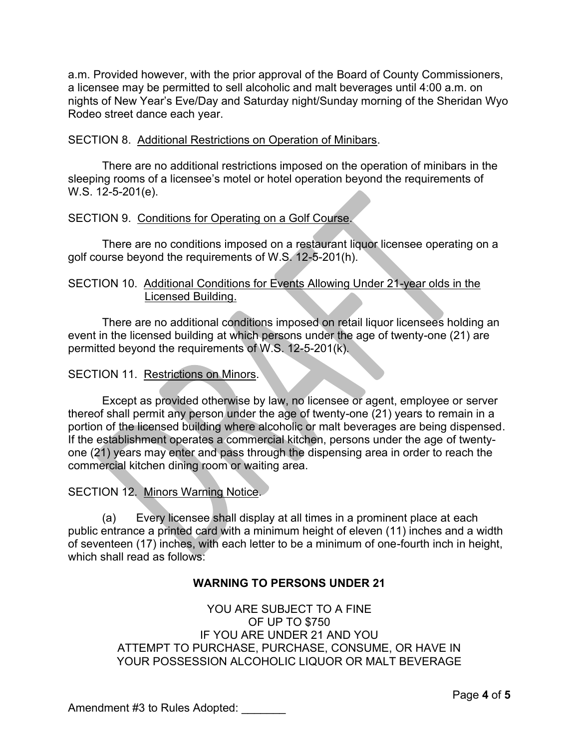a.m. Provided however, with the prior approval of the Board of County Commissioners, a licensee may be permitted to sell alcoholic and malt beverages until 4:00 a.m. on nights of New Year's Eve/Day and Saturday night/Sunday morning of the Sheridan Wyo Rodeo street dance each year.

## SECTION 8. Additional Restrictions on Operation of Minibars.

There are no additional restrictions imposed on the operation of minibars in the sleeping rooms of a licensee's motel or hotel operation beyond the requirements of W.S. 12-5-201(e).

### SECTION 9. Conditions for Operating on a Golf Course.

There are no conditions imposed on a restaurant liquor licensee operating on a golf course beyond the requirements of W.S. 12-5-201(h).

### SECTION 10. Additional Conditions for Events Allowing Under 21-year olds in the Licensed Building.

There are no additional conditions imposed on retail liquor licensees holding an event in the licensed building at which persons under the age of twenty-one (21) are permitted beyond the requirements of W.S. 12-5-201(k).

#### SECTION 11. Restrictions on Minors.

Except as provided otherwise by law, no licensee or agent, employee or server thereof shall permit any person under the age of twenty-one (21) years to remain in a portion of the licensed building where alcoholic or malt beverages are being dispensed. If the establishment operates a commercial kitchen, persons under the age of twentyone (21) years may enter and pass through the dispensing area in order to reach the commercial kitchen dining room or waiting area.

#### SECTION 12. Minors Warning Notice.

(a) Every licensee shall display at all times in a prominent place at each public entrance a printed card with a minimum height of eleven (11) inches and a width of seventeen (17) inches, with each letter to be a minimum of one-fourth inch in height, which shall read as follows:

## **WARNING TO PERSONS UNDER 21**

YOU ARE SUBJECT TO A FINE OF UP TO \$750 IF YOU ARE UNDER 21 AND YOU ATTEMPT TO PURCHASE, PURCHASE, CONSUME, OR HAVE IN YOUR POSSESSION ALCOHOLIC LIQUOR OR MALT BEVERAGE

Amendment #3 to Rules Adopted: